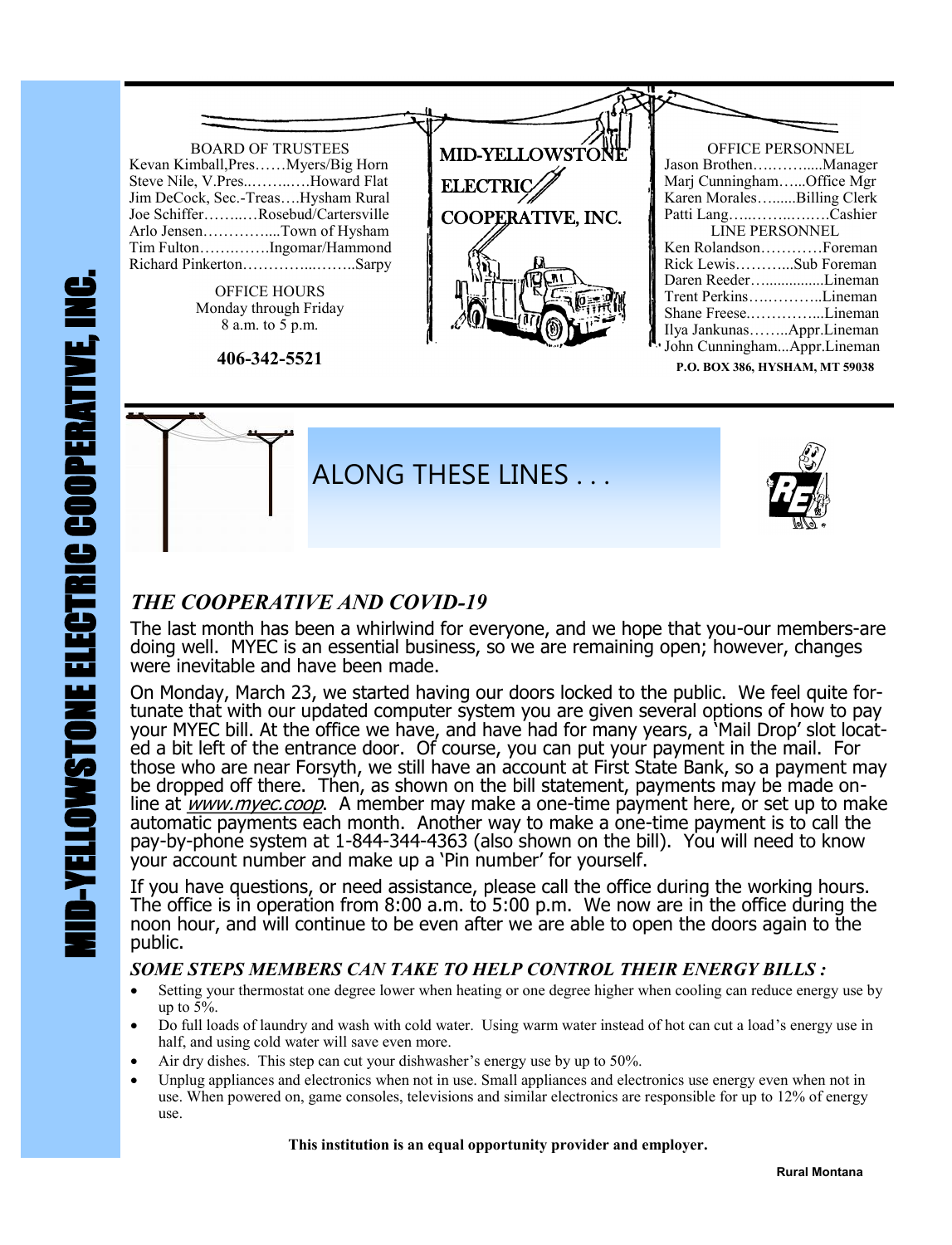

**P.O. BOX 386, HYSHAM, MT 59038**



## *THE COOPERATIVE AND COVID-19*

The last month has been a whirlwind for everyone, and we hope that you-our members-are doing well. MYEC is an essential business, so we are remaining open; however, changes were inevitable and have been made.

On Monday, March 23, we started having our doors locked to the public. We feel quite fortunate that with our updated computer system you are given several options of how to pay your MYEC bill. At the office we have, and have had for many years, a 'Mail Drop' slot located a bit left of the entrance door. Of course, you can put your payment in the mail. For those who are near Forsyth, we still have an account at First State Bank, so a payment may be dropped off there. Then, as shown on the bill statement, payments may be made online at *www.myec.coop*. A member may make a one-time payment here, or set up to make automatic payments each month. Another way to make a one-time payment is to call the pay-by-phone system at 1-844-344-4363 (also shown on the bill). You will need to know your account number and make up a 'Pin number' for yourself.

If you have questions, or need assistance, please call the office during the working hours. The office is in operation from 8:00 a.m. to 5:00 p.m. We now are in the office during the noon hour, and will continue to be even after we are able to open the doors again to the public.

## *SOME STEPS MEMBERS CAN TAKE TO HELP CONTROL THEIR ENERGY BILLS :*

- Setting your thermostat one degree lower when heating or one degree higher when cooling can reduce energy use by up to  $5%$ .
- Do full loads of laundry and wash with cold water. Using warm water instead of hot can cut a load's energy use in half, and using cold water will save even more.
- Air dry dishes. This step can cut your dishwasher's energy use by up to 50%.
- Unplug appliances and electronics when not in use. Small appliances and electronics use energy even when not in use. When powered on, game consoles, televisions and similar electronics are responsible for up to 12% of energy use.

 **This institution is an equal opportunity provider and employer.**